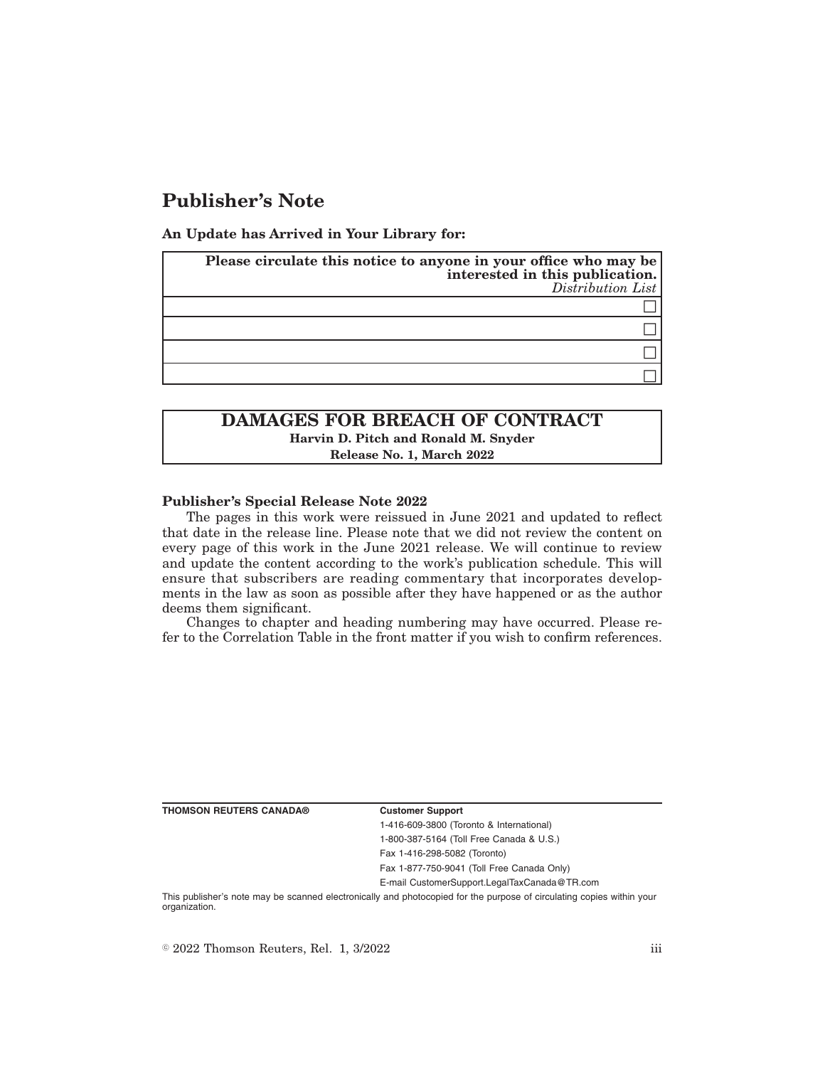# **Publisher's Note**

**An Update has Arrived in Your Library for:**

| Please circulate this notice to anyone in your office who may be<br>interested in this publication.<br>$Distriolution$ List |
|-----------------------------------------------------------------------------------------------------------------------------|
|                                                                                                                             |
|                                                                                                                             |
|                                                                                                                             |
|                                                                                                                             |

## **DAMAGES FOR BREACH OF CONTRACT Harvin D. Pitch and Ronald M. Snyder Release No. 1, March 2022**

### **Publisher's Special Release Note 2022**

The pages in this work were reissued in June 2021 and updated to reflect that date in the release line. Please note that we did not review the content on every page of this work in the June 2021 release. We will continue to review and update the content according to the work's publication schedule. This will ensure that subscribers are reading commentary that incorporates developments in the law as soon as possible after they have happened or as the author deems them significant.

Changes to chapter and heading numbering may have occurred. Please refer to the Correlation Table in the front matter if you wish to confirm references.

**THOMSON REUTERS CANADA® Customer Support**

1-416-609-3800 (Toronto & International) 1-800-387-5164 (Toll Free Canada & U.S.)

Fax 1-416-298-5082 (Toronto)

Fax 1-877-750-9041 (Toll Free Canada Only)

E-mail CustomerSupport.LegalTaxCanada@TR.com

This publisher's note may be scanned electronically and photocopied for the purpose of circulating copies within your organization.

 $\degree$  2022 Thomson Reuters, Rel. 1, 3/2022 iii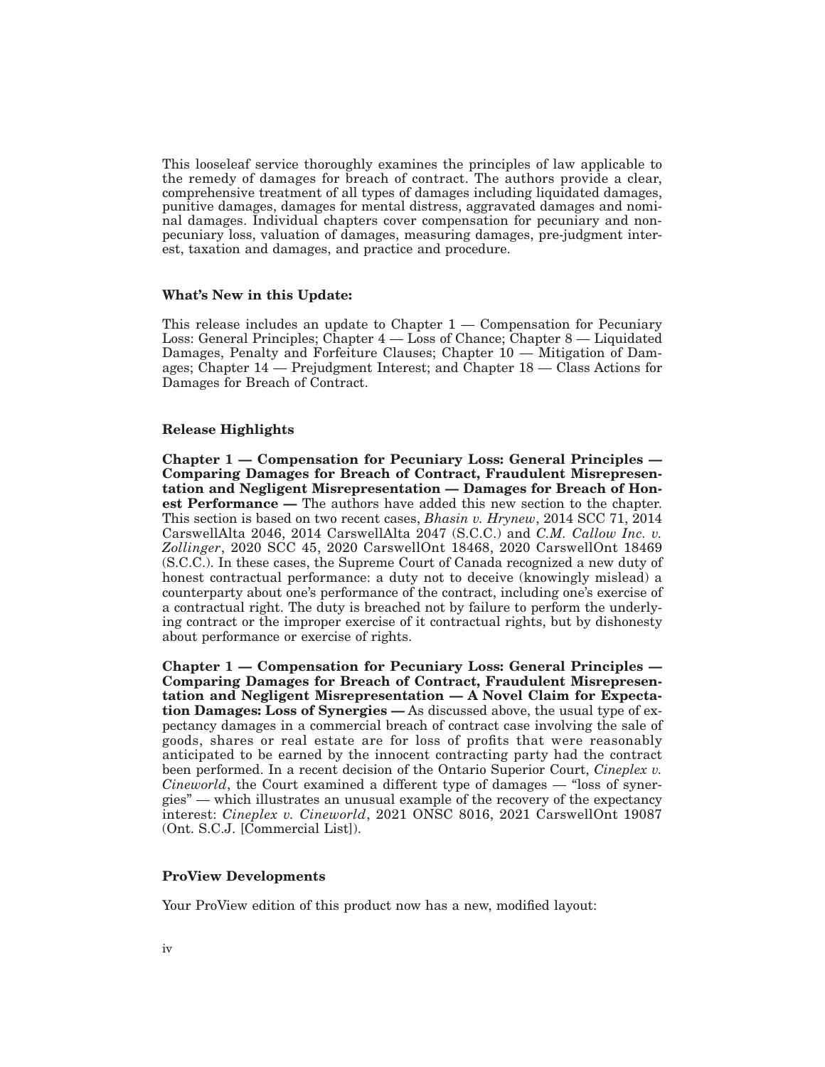This looseleaf service thoroughly examines the principles of law applicable to the remedy of damages for breach of contract. The authors provide a clear, comprehensive treatment of all types of damages including liquidated damages, punitive damages, damages for mental distress, aggravated damages and nominal damages. Individual chapters cover compensation for pecuniary and nonpecuniary loss, valuation of damages, measuring damages, pre-judgment interest, taxation and damages, and practice and procedure.

### **What's New in this Update:**

This release includes an update to Chapter  $1 -$  Compensation for Pecuniary Loss: General Principles; Chapter 4 — Loss of Chance; Chapter 8 — Liquidated Damages, Penalty and Forfeiture Clauses; Chapter 10 — Mitigation of Damages; Chapter 14 — Prejudgment Interest; and Chapter 18 — Class Actions for Damages for Breach of Contract.

### **Release Highlights**

**Chapter 1 — Compensation for Pecuniary Loss: General Principles — Comparing Damages for Breach of Contract, Fraudulent Misrepresentation and Negligent Misrepresentation — Damages for Breach of Honest Performance —** The authors have added this new section to the chapter. This section is based on two recent cases, *Bhasin v. Hrynew*, 2014 SCC 71, 2014 CarswellAlta 2046, 2014 CarswellAlta 2047 (S.C.C.) and *C.M. Callow Inc. v. Zollinger*, 2020 SCC 45, 2020 CarswellOnt 18468, 2020 CarswellOnt 18469 (S.C.C.). In these cases, the Supreme Court of Canada recognized a new duty of honest contractual performance: a duty not to deceive (knowingly mislead) a counterparty about one's performance of the contract, including one's exercise of a contractual right. The duty is breached not by failure to perform the underlying contract or the improper exercise of it contractual rights, but by dishonesty about performance or exercise of rights.

**Chapter 1 — Compensation for Pecuniary Loss: General Principles — Comparing Damages for Breach of Contract, Fraudulent Misrepresentation and Negligent Misrepresentation — A Novel Claim for Expectation Damages: Loss of Synergies —** As discussed above, the usual type of expectancy damages in a commercial breach of contract case involving the sale of goods, shares or real estate are for loss of profits that were reasonably anticipated to be earned by the innocent contracting party had the contract been performed. In a recent decision of the Ontario Superior Court, *Cineplex v. Cineworld*, the Court examined a different type of damages — "loss of synergies" — which illustrates an unusual example of the recovery of the expectancy interest: *Cineplex v. Cineworld*, 2021 ONSC 8016, 2021 CarswellOnt 19087 (Ont. S.C.J. [Commercial List]).

### **ProView Developments**

Your ProView edition of this product now has a new, modified layout: